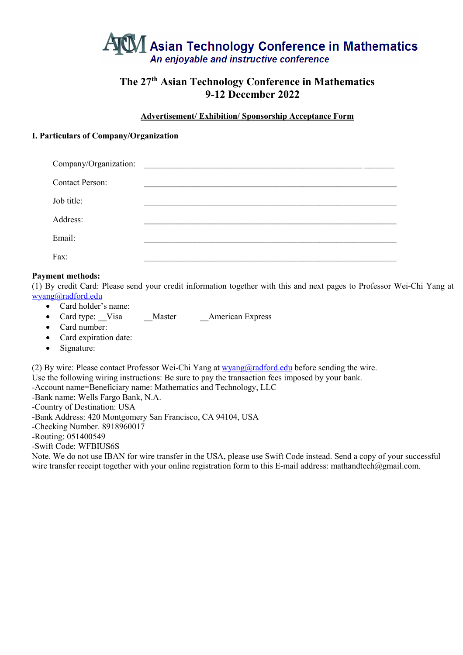

# **The 27th Asian Technology Conference in Mathematics 9-12 December 2022**

#### **Advertisement/ Exhibition/ Sponsorship Acceptance Form**

#### **I. Particulars of Company/Organization**

| Company/Organization:  |  |
|------------------------|--|
| <b>Contact Person:</b> |  |
| Job title:             |  |
| Address:               |  |
| Email:                 |  |
| Fax:                   |  |

#### **Payment methods:**

(1) By credit Card: Please send your credit information together with this and next pages to Professor Wei-Chi Yang at [wyang@radford.edu](mailto:wyang@radford.edu)

- Card holder's name:
- Card type: Visa Master American Express
- Card number:
- Card expiration date:
- Signature:

(2) By wire: Please contact Professor Wei-Chi Yang at [wyang@radford.edu](mailto:wyang@radford.edu) before sending the wire.

Use the following wiring instructions: Be sure to pay the transaction fees imposed by your bank.

-Account name=Beneficiary name: Mathematics and Technology, LLC

-Bank name: Wells Fargo Bank, N.A.

-Country of Destination: USA

-Bank Address: 420 Montgomery San Francisco, CA 94104, USA

-Checking Number. 8918960017

-Routing: 051400549

-Swift Code: WFBIUS6S

Note. We do not use IBAN for wire transfer in the USA, please use Swift Code instead. Send a copy of your successful wire transfer receipt together with your online registration form to this E-mail address: mathandtech@gmail.com.